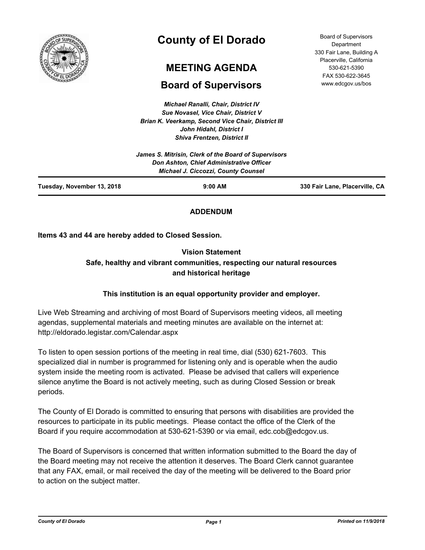

# **County of El Dorado**

# **MEETING AGENDA**

# **Board of Supervisors**

*Michael Ranalli, Chair, District IV Sue Novasel, Vice Chair, District V Brian K. Veerkamp, Second Vice Chair, District III John Hidahl, District I Shiva Frentzen, District II*

| <b>Board of Supervisors</b> |
|-----------------------------|
| Department                  |
| 330 Fair Lane, Building A   |
| Placerville, California     |
| 530-621-5390                |
| FAX 530-622-3645            |
| www.edcgov.us/bos           |

| Tuesday, November 13, 2018                                                                       | <b>Michael J. Ciccozzi, County Counsel</b><br>$9:00$ AM | 330 Fair Lane, Placerville, CA |
|--------------------------------------------------------------------------------------------------|---------------------------------------------------------|--------------------------------|
| James S. Mitrisin, Clerk of the Board of Supervisors<br>Don Ashton, Chief Administrative Officer |                                                         |                                |

## **ADDENDUM**

**Items 43 and 44 are hereby added to Closed Session.**

# **Vision Statement Safe, healthy and vibrant communities, respecting our natural resources and historical heritage**

# **This institution is an equal opportunity provider and employer.**

Live Web Streaming and archiving of most Board of Supervisors meeting videos, all meeting agendas, supplemental materials and meeting minutes are available on the internet at: http://eldorado.legistar.com/Calendar.aspx

To listen to open session portions of the meeting in real time, dial (530) 621-7603. This specialized dial in number is programmed for listening only and is operable when the audio system inside the meeting room is activated. Please be advised that callers will experience silence anytime the Board is not actively meeting, such as during Closed Session or break periods.

The County of El Dorado is committed to ensuring that persons with disabilities are provided the resources to participate in its public meetings. Please contact the office of the Clerk of the Board if you require accommodation at 530-621-5390 or via email, edc.cob@edcgov.us.

The Board of Supervisors is concerned that written information submitted to the Board the day of the Board meeting may not receive the attention it deserves. The Board Clerk cannot guarantee that any FAX, email, or mail received the day of the meeting will be delivered to the Board prior to action on the subject matter.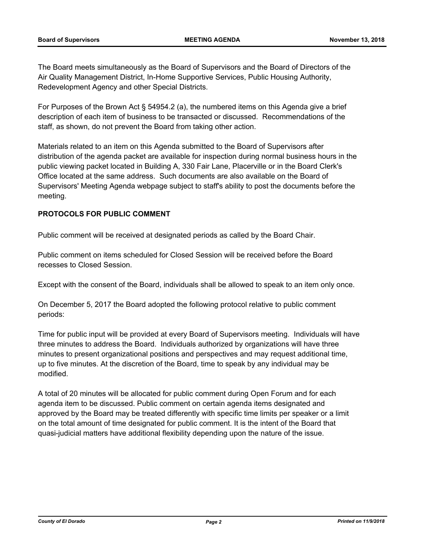The Board meets simultaneously as the Board of Supervisors and the Board of Directors of the Air Quality Management District, In-Home Supportive Services, Public Housing Authority, Redevelopment Agency and other Special Districts.

For Purposes of the Brown Act § 54954.2 (a), the numbered items on this Agenda give a brief description of each item of business to be transacted or discussed. Recommendations of the staff, as shown, do not prevent the Board from taking other action.

Materials related to an item on this Agenda submitted to the Board of Supervisors after distribution of the agenda packet are available for inspection during normal business hours in the public viewing packet located in Building A, 330 Fair Lane, Placerville or in the Board Clerk's Office located at the same address. Such documents are also available on the Board of Supervisors' Meeting Agenda webpage subject to staff's ability to post the documents before the meeting.

### **PROTOCOLS FOR PUBLIC COMMENT**

Public comment will be received at designated periods as called by the Board Chair.

Public comment on items scheduled for Closed Session will be received before the Board recesses to Closed Session.

Except with the consent of the Board, individuals shall be allowed to speak to an item only once.

On December 5, 2017 the Board adopted the following protocol relative to public comment periods:

Time for public input will be provided at every Board of Supervisors meeting. Individuals will have three minutes to address the Board. Individuals authorized by organizations will have three minutes to present organizational positions and perspectives and may request additional time, up to five minutes. At the discretion of the Board, time to speak by any individual may be modified.

A total of 20 minutes will be allocated for public comment during Open Forum and for each agenda item to be discussed. Public comment on certain agenda items designated and approved by the Board may be treated differently with specific time limits per speaker or a limit on the total amount of time designated for public comment. It is the intent of the Board that quasi-judicial matters have additional flexibility depending upon the nature of the issue.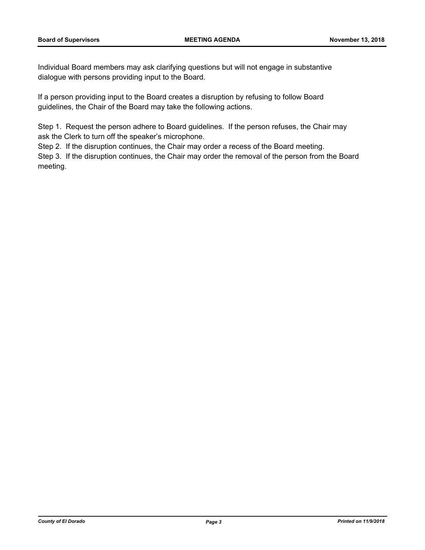Individual Board members may ask clarifying questions but will not engage in substantive dialogue with persons providing input to the Board.

If a person providing input to the Board creates a disruption by refusing to follow Board guidelines, the Chair of the Board may take the following actions.

Step 1. Request the person adhere to Board guidelines. If the person refuses, the Chair may ask the Clerk to turn off the speaker's microphone.

Step 2. If the disruption continues, the Chair may order a recess of the Board meeting.

Step 3. If the disruption continues, the Chair may order the removal of the person from the Board meeting.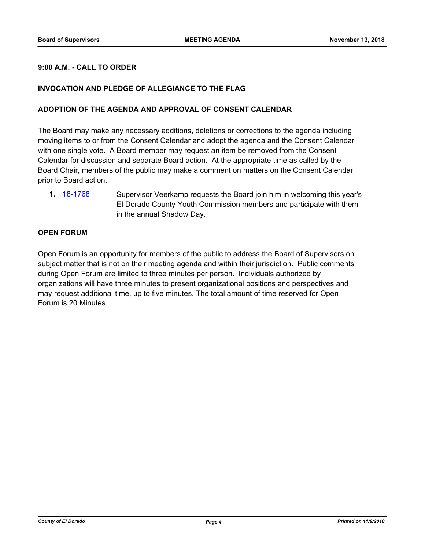#### **9:00 A.M. - CALL TO ORDER**

#### **INVOCATION AND PLEDGE OF ALLEGIANCE TO THE FLAG**

#### **ADOPTION OF THE AGENDA AND APPROVAL OF CONSENT CALENDAR**

The Board may make any necessary additions, deletions or corrections to the agenda including moving items to or from the Consent Calendar and adopt the agenda and the Consent Calendar with one single vote. A Board member may request an item be removed from the Consent Calendar for discussion and separate Board action. At the appropriate time as called by the Board Chair, members of the public may make a comment on matters on the Consent Calendar prior to Board action.

**1.** [18-1768](http://eldorado.legistar.com/gateway.aspx?m=l&id=/matter.aspx?key=25119) Supervisor Veerkamp requests the Board join him in welcoming this year's El Dorado County Youth Commission members and participate with them in the annual Shadow Day.

#### **OPEN FORUM**

Open Forum is an opportunity for members of the public to address the Board of Supervisors on subject matter that is not on their meeting agenda and within their jurisdiction. Public comments during Open Forum are limited to three minutes per person. Individuals authorized by organizations will have three minutes to present organizational positions and perspectives and may request additional time, up to five minutes. The total amount of time reserved for Open Forum is 20 Minutes.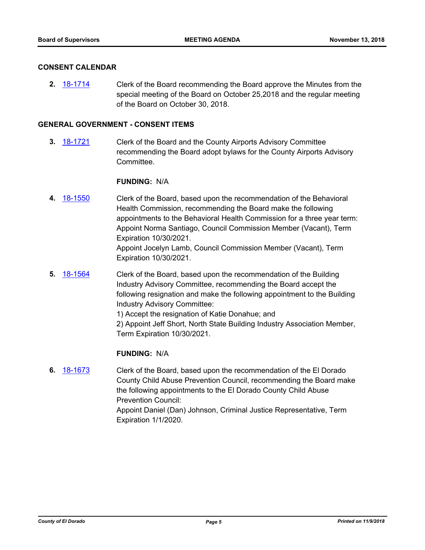#### **CONSENT CALENDAR**

**2.** [18-1714](http://eldorado.legistar.com/gateway.aspx?m=l&id=/matter.aspx?key=25065) Clerk of the Board recommending the Board approve the Minutes from the special meeting of the Board on October 25,2018 and the regular meeting of the Board on October 30, 2018.

#### **GENERAL GOVERNMENT - CONSENT ITEMS**

**3.** [18-1721](http://eldorado.legistar.com/gateway.aspx?m=l&id=/matter.aspx?key=25072) Clerk of the Board and the County Airports Advisory Committee recommending the Board adopt bylaws for the County Airports Advisory Committee.

#### **FUNDING:** N/A

- **4.** [18-1550](http://eldorado.legistar.com/gateway.aspx?m=l&id=/matter.aspx?key=24901) Clerk of the Board, based upon the recommendation of the Behavioral Health Commission, recommending the Board make the following appointments to the Behavioral Health Commission for a three year term: Appoint Norma Santiago, Council Commission Member (Vacant), Term Expiration 10/30/2021. Appoint Jocelyn Lamb, Council Commission Member (Vacant), Term Expiration 10/30/2021.
- **5.** [18-1564](http://eldorado.legistar.com/gateway.aspx?m=l&id=/matter.aspx?key=24915) Clerk of the Board, based upon the recommendation of the Building Industry Advisory Committee, recommending the Board accept the following resignation and make the following appointment to the Building Industry Advisory Committee:

1) Accept the resignation of Katie Donahue; and

2) Appoint Jeff Short, North State Building Industry Association Member, Term Expiration 10/30/2021.

#### **FUNDING:** N/A

**6.** [18-1673](http://eldorado.legistar.com/gateway.aspx?m=l&id=/matter.aspx?key=25024) Clerk of the Board, based upon the recommendation of the El Dorado County Child Abuse Prevention Council, recommending the Board make the following appointments to the El Dorado County Child Abuse Prevention Council: Appoint Daniel (Dan) Johnson, Criminal Justice Representative, Term Expiration 1/1/2020.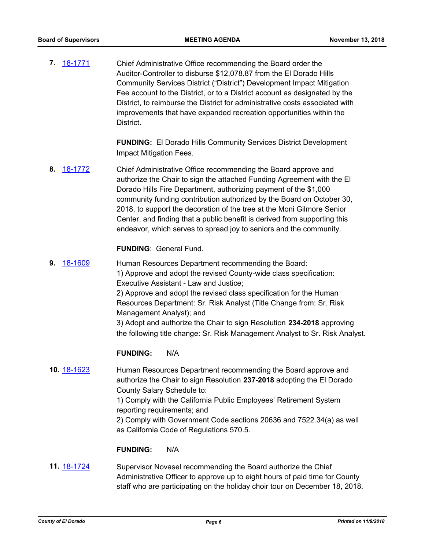**7.** [18-1771](http://eldorado.legistar.com/gateway.aspx?m=l&id=/matter.aspx?key=25122) Chief Administrative Office recommending the Board order the Auditor-Controller to disburse \$12,078.87 from the El Dorado Hills Community Services District ("District") Development Impact Mitigation Fee account to the District, or to a District account as designated by the District, to reimburse the District for administrative costs associated with improvements that have expanded recreation opportunities within the District.

> **FUNDING:** El Dorado Hills Community Services District Development Impact Mitigation Fees.

**8.** [18-1772](http://eldorado.legistar.com/gateway.aspx?m=l&id=/matter.aspx?key=25123) Chief Administrative Office recommending the Board approve and authorize the Chair to sign the attached Funding Agreement with the El Dorado Hills Fire Department, authorizing payment of the \$1,000 community funding contribution authorized by the Board on October 30, 2018, to support the decoration of the tree at the Moni Gilmore Senior Center, and finding that a public benefit is derived from supporting this endeavor, which serves to spread joy to seniors and the community.

#### **FUNDING**: General Fund.

**9.** [18-1609](http://eldorado.legistar.com/gateway.aspx?m=l&id=/matter.aspx?key=24960) Human Resources Department recommending the Board: 1) Approve and adopt the revised County-wide class specification: Executive Assistant - Law and Justice; 2) Approve and adopt the revised class specification for the Human Resources Department: Sr. Risk Analyst (Title Change from: Sr. Risk Management Analyst); and 3) Adopt and authorize the Chair to sign Resolution **234-2018** approving the following title change: Sr. Risk Management Analyst to Sr. Risk Analyst.

#### **FUNDING:** N/A

**10.** [18-1623](http://eldorado.legistar.com/gateway.aspx?m=l&id=/matter.aspx?key=24974) Human Resources Department recommending the Board approve and authorize the Chair to sign Resolution **237-2018** adopting the El Dorado County Salary Schedule to:

> 1) Comply with the California Public Employees' Retirement System reporting requirements; and

2) Comply with Government Code sections 20636 and 7522.34(a) as well as California Code of Regulations 570.5.

#### **FUNDING:** N/A

**11.** [18-1724](http://eldorado.legistar.com/gateway.aspx?m=l&id=/matter.aspx?key=25075) Supervisor Novasel recommending the Board authorize the Chief Administrative Officer to approve up to eight hours of paid time for County staff who are participating on the holiday choir tour on December 18, 2018.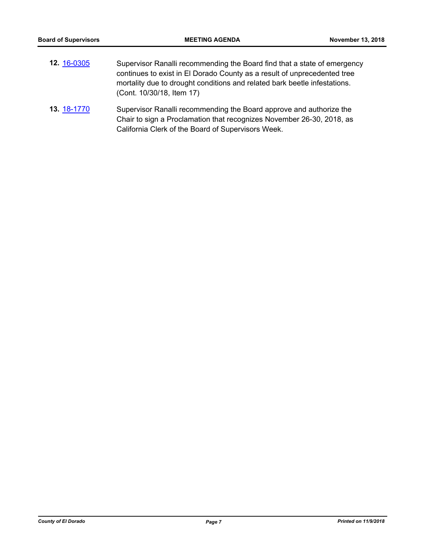| 12. 16-0305 | Supervisor Ranalli recommending the Board find that a state of emergency  |
|-------------|---------------------------------------------------------------------------|
|             | continues to exist in El Dorado County as a result of unprecedented tree  |
|             | mortality due to drought conditions and related bark beetle infestations. |
|             | (Cont. 10/30/18, Item 17)                                                 |
|             |                                                                           |

**13.** [18-1770](http://eldorado.legistar.com/gateway.aspx?m=l&id=/matter.aspx?key=25121) Supervisor Ranalli recommending the Board approve and authorize the Chair to sign a Proclamation that recognizes November 26-30, 2018, as California Clerk of the Board of Supervisors Week.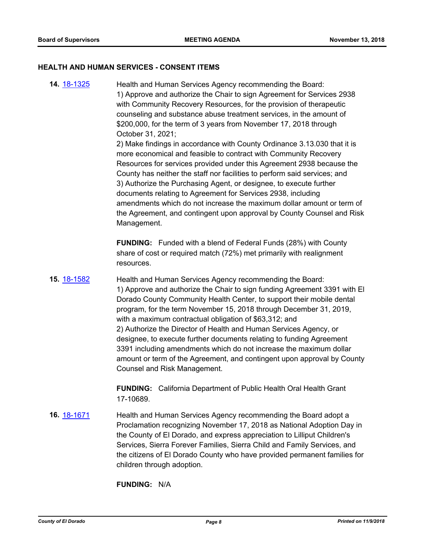#### **HEALTH AND HUMAN SERVICES - CONSENT ITEMS**

**14.** [18-1325](http://eldorado.legistar.com/gateway.aspx?m=l&id=/matter.aspx?key=24676) Health and Human Services Agency recommending the Board: 1) Approve and authorize the Chair to sign Agreement for Services 2938 with Community Recovery Resources, for the provision of therapeutic counseling and substance abuse treatment services, in the amount of \$200,000, for the term of 3 years from November 17, 2018 through October 31, 2021; 2) Make findings in accordance with County Ordinance 3.13.030 that it is more economical and feasible to contract with Community Recovery Resources for services provided under this Agreement 2938 because the County has neither the staff nor facilities to perform said services; and 3) Authorize the Purchasing Agent, or designee, to execute further documents relating to Agreement for Services 2938, including amendments which do not increase the maximum dollar amount or term of the Agreement, and contingent upon approval by County Counsel and Risk Management.

> **FUNDING:** Funded with a blend of Federal Funds (28%) with County share of cost or required match (72%) met primarily with realignment resources.

**15.** [18-1582](http://eldorado.legistar.com/gateway.aspx?m=l&id=/matter.aspx?key=24933) Health and Human Services Agency recommending the Board: 1) Approve and authorize the Chair to sign funding Agreement 3391 with El Dorado County Community Health Center, to support their mobile dental program, for the term November 15, 2018 through December 31, 2019, with a maximum contractual obligation of \$63,312; and 2) Authorize the Director of Health and Human Services Agency, or designee, to execute further documents relating to funding Agreement 3391 including amendments which do not increase the maximum dollar amount or term of the Agreement, and contingent upon approval by County Counsel and Risk Management.

> **FUNDING:** California Department of Public Health Oral Health Grant 17-10689.

**16.** [18-1671](http://eldorado.legistar.com/gateway.aspx?m=l&id=/matter.aspx?key=25022) Health and Human Services Agency recommending the Board adopt a Proclamation recognizing November 17, 2018 as National Adoption Day in the County of El Dorado, and express appreciation to Lilliput Children's Services, Sierra Forever Families, Sierra Child and Family Services, and the citizens of El Dorado County who have provided permanent families for children through adoption.

**FUNDING:** N/A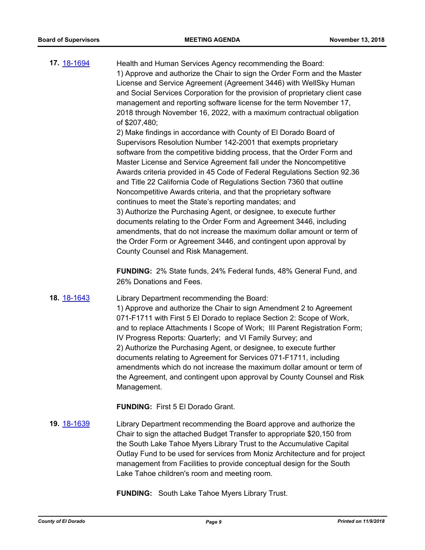**17.** [18-1694](http://eldorado.legistar.com/gateway.aspx?m=l&id=/matter.aspx?key=25045) Health and Human Services Agency recommending the Board: 1) Approve and authorize the Chair to sign the Order Form and the Master License and Service Agreement (Agreement 3446) with WellSky Human and Social Services Corporation for the provision of proprietary client case management and reporting software license for the term November 17, 2018 through November 16, 2022, with a maximum contractual obligation of \$207,480; 2) Make findings in accordance with County of El Dorado Board of Supervisors Resolution Number 142-2001 that exempts proprietary software from the competitive bidding process, that the Order Form and Master License and Service Agreement fall under the Noncompetitive Awards criteria provided in 45 Code of Federal Regulations Section 92.36 and Title 22 California Code of Regulations Section 7360 that outline Noncompetitive Awards criteria, and that the proprietary software continues to meet the State's reporting mandates; and 3) Authorize the Purchasing Agent, or designee, to execute further documents relating to the Order Form and Agreement 3446, including amendments, that do not increase the maximum dollar amount or term of

> **FUNDING:** 2% State funds, 24% Federal funds, 48% General Fund, and 26% Donations and Fees.

the Order Form or Agreement 3446, and contingent upon approval by

**18.** [18-1643](http://eldorado.legistar.com/gateway.aspx?m=l&id=/matter.aspx?key=24994) Library Department recommending the Board:

County Counsel and Risk Management.

1) Approve and authorize the Chair to sign Amendment 2 to Agreement 071-F1711 with First 5 El Dorado to replace Section 2: Scope of Work, and to replace Attachments I Scope of Work; III Parent Registration Form; IV Progress Reports: Quarterly; and VI Family Survey; and 2) Authorize the Purchasing Agent, or designee, to execute further documents relating to Agreement for Services 071-F1711, including amendments which do not increase the maximum dollar amount or term of the Agreement, and contingent upon approval by County Counsel and Risk Management.

**FUNDING:** First 5 El Dorado Grant.

**19.** [18-1639](http://eldorado.legistar.com/gateway.aspx?m=l&id=/matter.aspx?key=24990) Library Department recommending the Board approve and authorize the Chair to sign the attached Budget Transfer to appropriate \$20,150 from the South Lake Tahoe Myers Library Trust to the Accumulative Capital Outlay Fund to be used for services from Moniz Architecture and for project management from Facilities to provide conceptual design for the South Lake Tahoe children's room and meeting room.

**FUNDING:** South Lake Tahoe Myers Library Trust.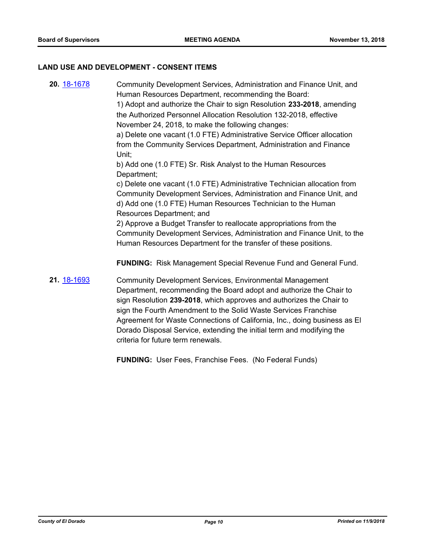#### **LAND USE AND DEVELOPMENT - CONSENT ITEMS**

**20.** [18-1678](http://eldorado.legistar.com/gateway.aspx?m=l&id=/matter.aspx?key=25029) Community Development Services, Administration and Finance Unit, and Human Resources Department, recommending the Board: 1) Adopt and authorize the Chair to sign Resolution **233-2018**, amending the Authorized Personnel Allocation Resolution 132-2018, effective November 24, 2018, to make the following changes: a) Delete one vacant (1.0 FTE) Administrative Service Officer allocation from the Community Services Department, Administration and Finance Unit; b) Add one (1.0 FTE) Sr. Risk Analyst to the Human Resources Department; c) Delete one vacant (1.0 FTE) Administrative Technician allocation from Community Development Services, Administration and Finance Unit, and d) Add one (1.0 FTE) Human Resources Technician to the Human Resources Department; and 2) Approve a Budget Transfer to reallocate appropriations from the Community Development Services, Administration and Finance Unit, to the Human Resources Department for the transfer of these positions. **FUNDING:** Risk Management Special Revenue Fund and General Fund. **21.** [18-1693](http://eldorado.legistar.com/gateway.aspx?m=l&id=/matter.aspx?key=25044) Community Development Services, Environmental Management Department, recommending the Board adopt and authorize the Chair to sign Resolution **239-2018**, which approves and authorizes the Chair to sign the Fourth Amendment to the Solid Waste Services Franchise Agreement for Waste Connections of California, Inc., doing business as El Dorado Disposal Service, extending the initial term and modifying the criteria for future term renewals.

**FUNDING:** User Fees, Franchise Fees. (No Federal Funds)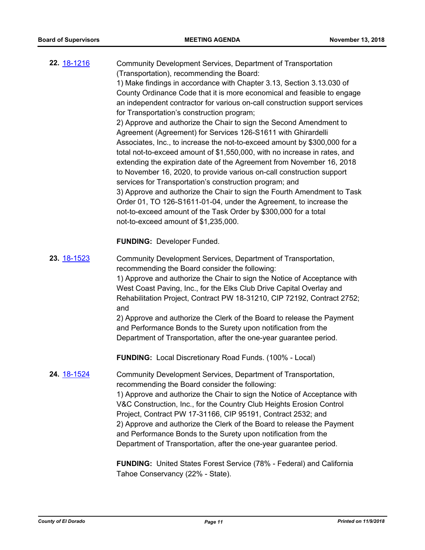| 22. 18-1216        | Community Development Services, Department of Transportation<br>(Transportation), recommending the Board:<br>1) Make findings in accordance with Chapter 3.13, Section 3.13.030 of<br>County Ordinance Code that it is more economical and feasible to engage<br>an independent contractor for various on-call construction support services<br>for Transportation's construction program;<br>2) Approve and authorize the Chair to sign the Second Amendment to<br>Agreement (Agreement) for Services 126-S1611 with Ghirardelli<br>Associates, Inc., to increase the not-to-exceed amount by \$300,000 for a<br>total not-to-exceed amount of \$1,550,000, with no increase in rates, and<br>extending the expiration date of the Agreement from November 16, 2018<br>to November 16, 2020, to provide various on-call construction support<br>services for Transportation's construction program; and<br>3) Approve and authorize the Chair to sign the Fourth Amendment to Task<br>Order 01, TO 126-S1611-01-04, under the Agreement, to increase the<br>not-to-exceed amount of the Task Order by \$300,000 for a total |
|--------------------|------------------------------------------------------------------------------------------------------------------------------------------------------------------------------------------------------------------------------------------------------------------------------------------------------------------------------------------------------------------------------------------------------------------------------------------------------------------------------------------------------------------------------------------------------------------------------------------------------------------------------------------------------------------------------------------------------------------------------------------------------------------------------------------------------------------------------------------------------------------------------------------------------------------------------------------------------------------------------------------------------------------------------------------------------------------------------------------------------------------------------|
|                    | not-to-exceed amount of \$1,235,000.                                                                                                                                                                                                                                                                                                                                                                                                                                                                                                                                                                                                                                                                                                                                                                                                                                                                                                                                                                                                                                                                                         |
|                    | <b>FUNDING: Developer Funded.</b>                                                                                                                                                                                                                                                                                                                                                                                                                                                                                                                                                                                                                                                                                                                                                                                                                                                                                                                                                                                                                                                                                            |
| 23. 18-1523        | Community Development Services, Department of Transportation,<br>recommending the Board consider the following:<br>1) Approve and authorize the Chair to sign the Notice of Acceptance with<br>West Coast Paving, Inc., for the Elks Club Drive Capital Overlay and<br>Rehabilitation Project, Contract PW 18-31210, CIP 72192, Contract 2752;<br>and<br>2) Approve and authorize the Clerk of the Board to release the Payment<br>and Performance Bonds to the Surety upon notification from the<br>Department of Transportation, after the one-year guarantee period.                                                                                                                                                                                                                                                                                                                                                                                                                                                                                                                                                      |
|                    |                                                                                                                                                                                                                                                                                                                                                                                                                                                                                                                                                                                                                                                                                                                                                                                                                                                                                                                                                                                                                                                                                                                              |
|                    | <b>FUNDING:</b> Local Discretionary Road Funds. (100% - Local)                                                                                                                                                                                                                                                                                                                                                                                                                                                                                                                                                                                                                                                                                                                                                                                                                                                                                                                                                                                                                                                               |
| 24. <u>18-1524</u> | Community Development Services, Department of Transportation,<br>recommending the Board consider the following:<br>1) Approve and authorize the Chair to sign the Notice of Acceptance with<br>V&C Construction, Inc., for the Country Club Heights Erosion Control<br>Project, Contract PW 17-31166, CIP 95191, Contract 2532; and<br>2) Approve and authorize the Clerk of the Board to release the Payment<br>and Performance Bonds to the Surety upon notification from the<br>Department of Transportation, after the one-year guarantee period.                                                                                                                                                                                                                                                                                                                                                                                                                                                                                                                                                                        |
|                    | FUNDING: United States Forest Service (78% - Federal) and California                                                                                                                                                                                                                                                                                                                                                                                                                                                                                                                                                                                                                                                                                                                                                                                                                                                                                                                                                                                                                                                         |

Tahoe Conservancy (22% - State).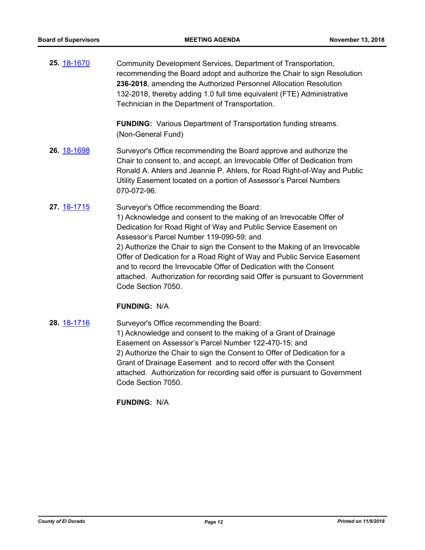**25.** [18-1670](http://eldorado.legistar.com/gateway.aspx?m=l&id=/matter.aspx?key=25021) Community Development Services, Department of Transportation, recommending the Board adopt and authorize the Chair to sign Resolution **236-2018**, amending the Authorized Personnel Allocation Resolution 132-2018, thereby adding 1.0 full time equivalent (FTE) Administrative Technician in the Department of Transportation.

> **FUNDING:** Various Department of Transportation funding streams. (Non-General Fund)

- **26.** [18-1698](http://eldorado.legistar.com/gateway.aspx?m=l&id=/matter.aspx?key=25049) Surveyor's Office recommending the Board approve and authorize the Chair to consent to, and accept, an Irrevocable Offer of Dedication from Ronald A. Ahlers and Jeannie P. Ahlers, for Road Right-of-Way and Public Utility Easement located on a portion of Assessor's Parcel Numbers 070-072-96*.*
- **27.** [18-1715](http://eldorado.legistar.com/gateway.aspx?m=l&id=/matter.aspx?key=25066) Surveyor's Office recommending the Board: 1) Acknowledge and consent to the making of an Irrevocable Offer of Dedication for Road Right of Way and Public Service Easement on Assessor's Parcel Number 119-090-59; and 2) Authorize the Chair to sign the Consent to the Making of an Irrevocable Offer of Dedication for a Road Right of Way and Public Service Easement and to record the Irrevocable Offer of Dedication with the Consent attached. Authorization for recording said Offer is pursuant to Government Code Section 7050.

#### **FUNDING:** N/A

**28.** [18-1716](http://eldorado.legistar.com/gateway.aspx?m=l&id=/matter.aspx?key=25067) Surveyor's Office recommending the Board: 1) Acknowledge and consent to the making of a Grant of Drainage Easement on Assessor's Parcel Number 122-470-15; and

2) Authorize the Chair to sign the Consent to Offer of Dedication for a Grant of Drainage Easement and to record offer with the Consent attached. Authorization for recording said offer is pursuant to Government Code Section 7050.

#### **FUNDING:** N/A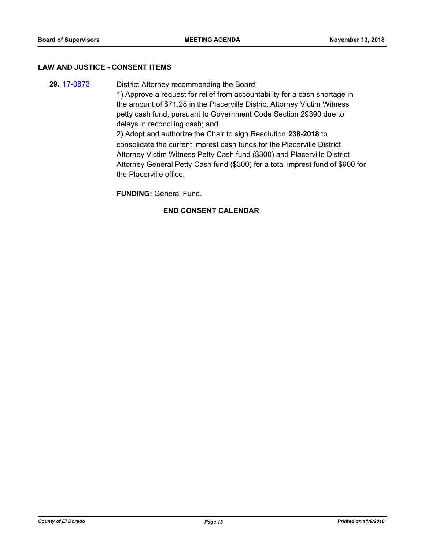#### **LAW AND JUSTICE - CONSENT ITEMS**

**29.** [17-0873](http://eldorado.legistar.com/gateway.aspx?m=l&id=/matter.aspx?key=22816) District Attorney recommending the Board: 1) Approve a request for relief from accountability for a cash shortage in the amount of \$71.28 in the Placerville District Attorney Victim Witness petty cash fund, pursuant to Government Code Section 29390 due to delays in reconciling cash; and 2) Adopt and authorize the Chair to sign Resolution **238-2018** to consolidate the current imprest cash funds for the Placerville District Attorney Victim Witness Petty Cash fund (\$300) and Placerville District Attorney General Petty Cash fund (\$300) for a total imprest fund of \$600 for the Placerville office.

**FUNDING:** General Fund.

## **END CONSENT CALENDAR**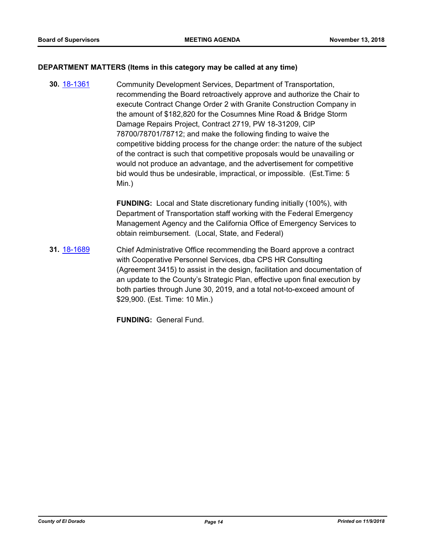#### **DEPARTMENT MATTERS (Items in this category may be called at any time)**

**30.** [18-1361](http://eldorado.legistar.com/gateway.aspx?m=l&id=/matter.aspx?key=24713) Community Development Services, Department of Transportation, recommending the Board retroactively approve and authorize the Chair to execute Contract Change Order 2 with Granite Construction Company in the amount of \$182,820 for the Cosumnes Mine Road & Bridge Storm Damage Repairs Project, Contract 2719, PW 18-31209, CIP 78700/78701/78712; and make the following finding to waive the competitive bidding process for the change order: the nature of the subject of the contract is such that competitive proposals would be unavailing or would not produce an advantage, and the advertisement for competitive bid would thus be undesirable, impractical, or impossible. (Est.Time: 5 Min.)

> **FUNDING:** Local and State discretionary funding initially (100%), with Department of Transportation staff working with the Federal Emergency Management Agency and the California Office of Emergency Services to obtain reimbursement. (Local, State, and Federal)

**31.** [18-1689](http://eldorado.legistar.com/gateway.aspx?m=l&id=/matter.aspx?key=25040) Chief Administrative Office recommending the Board approve a contract with Cooperative Personnel Services, dba CPS HR Consulting (Agreement 3415) to assist in the design, facilitation and documentation of an update to the County's Strategic Plan, effective upon final execution by both parties through June 30, 2019, and a total not-to-exceed amount of \$29,900. (Est. Time: 10 Min.)

**FUNDING:** General Fund.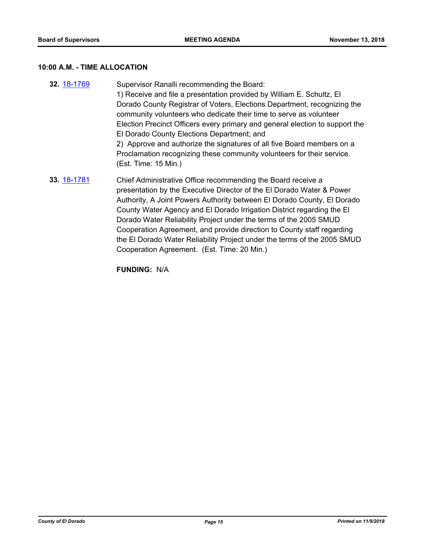#### **10:00 A.M. - TIME ALLOCATION**

**32.** [18-1769](http://eldorado.legistar.com/gateway.aspx?m=l&id=/matter.aspx?key=25120) Supervisor Ranalli recommending the Board: 1) Receive and file a presentation provided by William E. Schultz, El Dorado County Registrar of Voters, Elections Department, recognizing the community volunteers who dedicate their time to serve as volunteer Election Precinct Officers every primary and general election to support the El Dorado County Elections Department; and 2) Approve and authorize the signatures of all five Board members on a Proclamation recognizing these community volunteers for their service. (Est. Time: 15 Min.) **33.** [18-1781](http://eldorado.legistar.com/gateway.aspx?m=l&id=/matter.aspx?key=25132) Chief Administrative Office recommending the Board receive a presentation by the Executive Director of the El Dorado Water & Power Authority, A Joint Powers Authority between El Dorado County, El Dorado County Water Agency and El Dorado Irrigation District regarding the El Dorado Water Reliability Project under the terms of the 2005 SMUD Cooperation Agreement, and provide direction to County staff regarding the El Dorado Water Reliability Project under the terms of the 2005 SMUD Cooperation Agreement. (Est. Time: 20 Min.)

**FUNDING:** N/A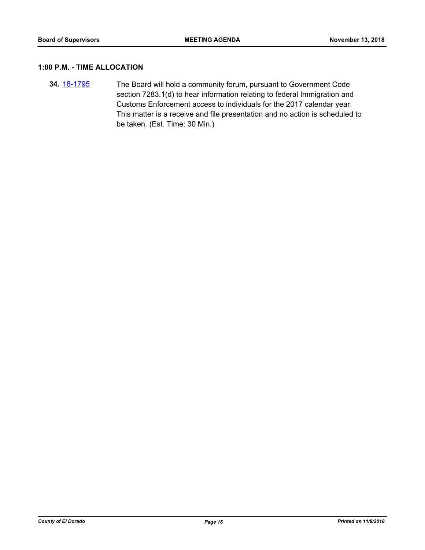#### **1:00 P.M. - TIME ALLOCATION**

**34.** [18-1795](http://eldorado.legistar.com/gateway.aspx?m=l&id=/matter.aspx?key=25146) The Board will hold a community forum, pursuant to Government Code section 7283.1(d) to hear information relating to federal Immigration and Customs Enforcement access to individuals for the 2017 calendar year. This matter is a receive and file presentation and no action is scheduled to be taken. (Est. Time: 30 Min.)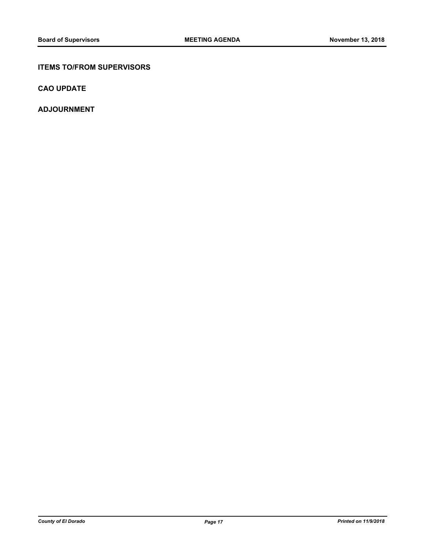#### **ITEMS TO/FROM SUPERVISORS**

**CAO UPDATE**

**ADJOURNMENT**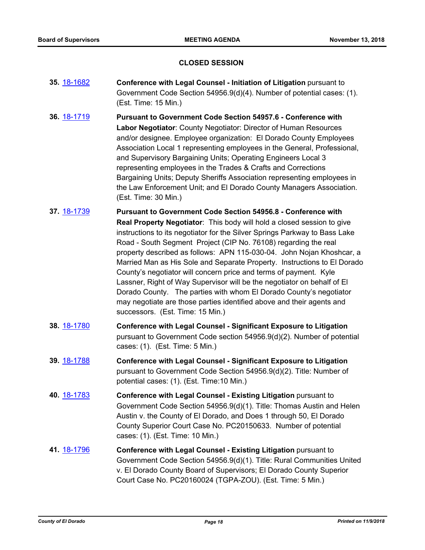#### **CLOSED SESSION**

- **35.** [18-1682](http://eldorado.legistar.com/gateway.aspx?m=l&id=/matter.aspx?key=25033) **Conference with Legal Counsel Initiation of Litigation** pursuant to Government Code Section 54956.9(d)(4). Number of potential cases: (1). (Est. Time: 15 Min.)
- **36.** [18-1719](http://eldorado.legistar.com/gateway.aspx?m=l&id=/matter.aspx?key=25070) **Pursuant to Government Code Section 54957.6 Conference with Labor Negotiator**: County Negotiator: Director of Human Resources and/or designee. Employee organization: El Dorado County Employees Association Local 1 representing employees in the General, Professional, and Supervisory Bargaining Units; Operating Engineers Local 3 representing employees in the Trades & Crafts and Corrections Bargaining Units; Deputy Sheriffs Association representing employees in the Law Enforcement Unit; and El Dorado County Managers Association. (Est. Time: 30 Min.)
- **37.** [18-1739](http://eldorado.legistar.com/gateway.aspx?m=l&id=/matter.aspx?key=25090) **Pursuant to Government Code Section 54956.8 Conference with Real Property Negotiator**: This body will hold a closed session to give instructions to its negotiator for the Silver Springs Parkway to Bass Lake Road - South Segment Project (CIP No. 76108) regarding the real property described as follows: APN 115-030-04. John Nojan Khoshcar, a Married Man as His Sole and Separate Property. Instructions to El Dorado County's negotiator will concern price and terms of payment. Kyle Lassner, Right of Way Supervisor will be the negotiator on behalf of El Dorado County. The parties with whom El Dorado County's negotiator may negotiate are those parties identified above and their agents and successors. (Est. Time: 15 Min.)
- **38.** [18-1780](http://eldorado.legistar.com/gateway.aspx?m=l&id=/matter.aspx?key=25131) **Conference with Legal Counsel Significant Exposure to Litigation**  pursuant to Government Code section 54956.9(d)(2). Number of potential cases: (1). (Est. Time: 5 Min.)
- **39.** [18-1788](http://eldorado.legistar.com/gateway.aspx?m=l&id=/matter.aspx?key=25139) **Conference with Legal Counsel Significant Exposure to Litigation** pursuant to Government Code Section 54956.9(d)(2). Title: Number of potential cases: (1). (Est. Time:10 Min.)
- **40.** [18-1783](http://eldorado.legistar.com/gateway.aspx?m=l&id=/matter.aspx?key=25134) **Conference with Legal Counsel - Existing Litigation** pursuant to Government Code Section 54956.9(d)(1). Title: Thomas Austin and Helen Austin v. the County of El Dorado, and Does 1 through 50, El Dorado County Superior Court Case No. PC20150633. Number of potential cases: (1). (Est. Time: 10 Min.)
- **41.** [18-1796](http://eldorado.legistar.com/gateway.aspx?m=l&id=/matter.aspx?key=25147) **Conference with Legal Counsel - Existing Litigation** pursuant to Government Code Section 54956.9(d)(1). Title: Rural Communities United v. El Dorado County Board of Supervisors; El Dorado County Superior Court Case No. PC20160024 (TGPA-ZOU). (Est. Time: 5 Min.)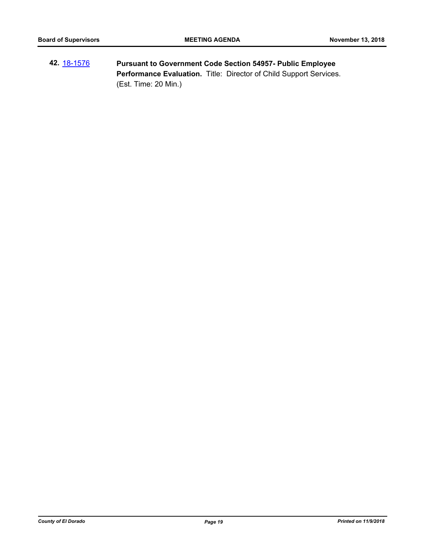**42.** [18-1576](http://eldorado.legistar.com/gateway.aspx?m=l&id=/matter.aspx?key=24927) **Pursuant to Government Code Section 54957- Public Employee Performance Evaluation.** Title: Director of Child Support Services. (Est. Time: 20 Min.)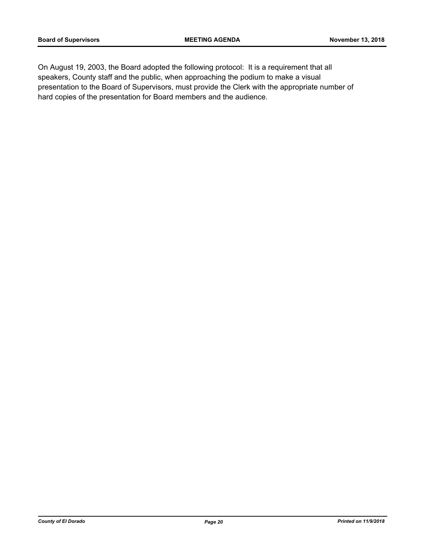On August 19, 2003, the Board adopted the following protocol: It is a requirement that all speakers, County staff and the public, when approaching the podium to make a visual presentation to the Board of Supervisors, must provide the Clerk with the appropriate number of hard copies of the presentation for Board members and the audience.